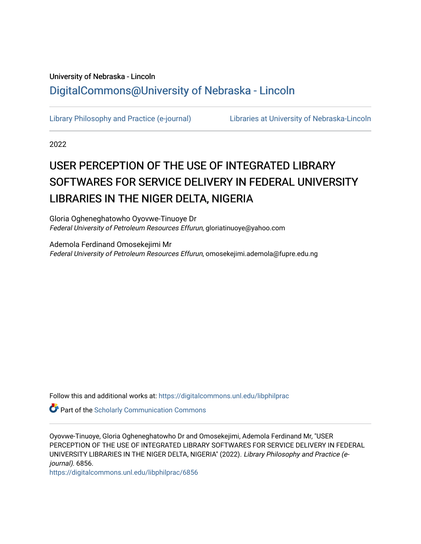## University of Nebraska - Lincoln [DigitalCommons@University of Nebraska - Lincoln](https://digitalcommons.unl.edu/)

[Library Philosophy and Practice \(e-journal\)](https://digitalcommons.unl.edu/libphilprac) [Libraries at University of Nebraska-Lincoln](https://digitalcommons.unl.edu/libraries) 

2022

# USER PERCEPTION OF THE USE OF INTEGRATED LIBRARY SOFTWARES FOR SERVICE DELIVERY IN FEDERAL UNIVERSITY LIBRARIES IN THE NIGER DELTA, NIGERIA

Gloria Ogheneghatowho Oyovwe-Tinuoye Dr Federal University of Petroleum Resources Effurun, gloriatinuoye@yahoo.com

Ademola Ferdinand Omosekejimi Mr Federal University of Petroleum Resources Effurun, omosekejimi.ademola@fupre.edu.ng

Follow this and additional works at: [https://digitalcommons.unl.edu/libphilprac](https://digitalcommons.unl.edu/libphilprac?utm_source=digitalcommons.unl.edu%2Flibphilprac%2F6856&utm_medium=PDF&utm_campaign=PDFCoverPages) 

**Part of the Scholarly Communication Commons** 

Oyovwe-Tinuoye, Gloria Ogheneghatowho Dr and Omosekejimi, Ademola Ferdinand Mr, "USER PERCEPTION OF THE USE OF INTEGRATED LIBRARY SOFTWARES FOR SERVICE DELIVERY IN FEDERAL UNIVERSITY LIBRARIES IN THE NIGER DELTA, NIGERIA" (2022). Library Philosophy and Practice (ejournal). 6856.

[https://digitalcommons.unl.edu/libphilprac/6856](https://digitalcommons.unl.edu/libphilprac/6856?utm_source=digitalcommons.unl.edu%2Flibphilprac%2F6856&utm_medium=PDF&utm_campaign=PDFCoverPages)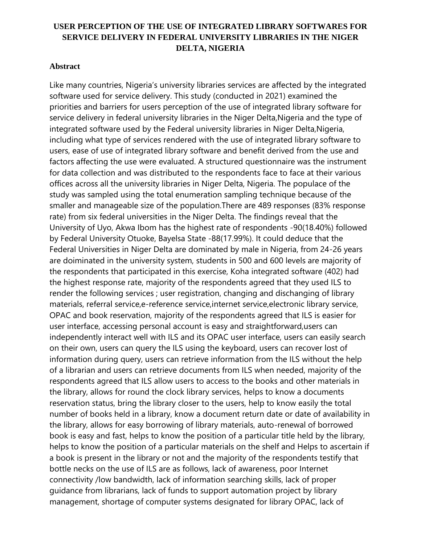## **USER PERCEPTION OF THE USE OF INTEGRATED LIBRARY SOFTWARES FOR SERVICE DELIVERY IN FEDERAL UNIVERSITY LIBRARIES IN THE NIGER DELTA, NIGERIA**

#### **Abstract**

Like many countries, Nigeria's university libraries services are affected by the integrated software used for service delivery. This study (conducted in 2021) examined the priorities and barriers for users perception of the use of integrated library software for service delivery in federal university libraries in the Niger Delta,Nigeria and the type of integrated software used by the Federal university libraries in Niger Delta,Nigeria, including what type of services rendered with the use of integrated library software to users, ease of use of integrated library software and benefit derived from the use and factors affecting the use were evaluated. A structured questionnaire was the instrument for data collection and was distributed to the respondents face to face at their various offices across all the university libraries in Niger Delta, Nigeria. The populace of the study was sampled using the total enumeration sampling technique because of the smaller and manageable size of the population.There are 489 responses (83% response rate) from six federal universities in the Niger Delta. The findings reveal that the University of Uyo, Akwa Ibom has the highest rate of respondents -90(18.40%) followed by Federal University Otuoke, Bayelsa State -88(17.99%). It could deduce that the Federal Universities in Niger Delta are dominated by male in Nigeria, from 24-26 years are doiminated in the university system, students in 500 and 600 levels are majority of the respondents that participated in this exercise, Koha integrated software (402) had the highest response rate, majority of the respondents agreed that they used ILS to render the following services ; user registration, changing and dischanging of library materials, referral service,e-reference service,internet service,electronic library service, OPAC and book reservation, majority of the respondents agreed that ILS is easier for user interface, accessing personal account is easy and straightforward,users can independently interact well with ILS and its OPAC user interface, users can easily search on their own, users can query the ILS using the keyboard, users can recover lost of information during query, users can retrieve information from the ILS without the help of a librarian and users can retrieve documents from ILS when needed, majority of the respondents agreed that ILS allow users to access to the books and other materials in the library, allows for round the clock library services, helps to know a documents reservation status, bring the library closer to the users, help to know easily the total number of books held in a library, know a document return date or date of availability in the library, allows for easy borrowing of library materials, auto-renewal of borrowed book is easy and fast, helps to know the position of a particular title held by the library, helps to know the position of a particular materials on the shelf and Helps to ascertain if a book is present in the library or not and the majority of the respondents testify that bottle necks on the use of ILS are as follows, lack of awareness, poor Internet connectivity /low bandwidth, lack of information searching skills, lack of proper guidance from librarians, lack of funds to support automation project by library management, shortage of computer systems designated for library OPAC, lack of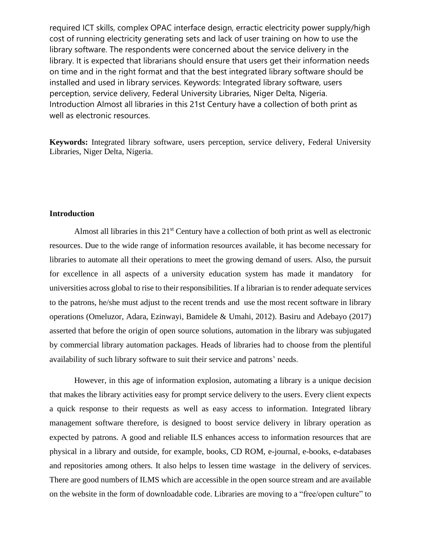required ICT skills, complex OPAC interface design, erractic electricity power supply/high cost of running electricity generating sets and lack of user training on how to use the library software. The respondents were concerned about the service delivery in the library. It is expected that librarians should ensure that users get their information needs on time and in the right format and that the best integrated library software should be installed and used in library services. Keywords: Integrated library software, users perception, service delivery, Federal University Libraries, Niger Delta, Nigeria. Introduction Almost all libraries in this 21st Century have a collection of both print as well as electronic resources.

**Keywords:** Integrated library software, users perception, service delivery, Federal University Libraries, Niger Delta, Nigeria.

#### **Introduction**

Almost all libraries in this  $21<sup>st</sup>$  Century have a collection of both print as well as electronic resources. Due to the wide range of information resources available, it has become necessary for libraries to automate all their operations to meet the growing demand of users. Also, the pursuit for excellence in all aspects of a university education system has made it mandatory for universities across global to rise to their responsibilities. If a librarian is to render adequate services to the patrons, he/she must adjust to the recent trends and use the most recent software in library operations (Omeluzor, Adara, Ezinwayi, Bamidele & Umahi, 2012). Basiru and Adebayo (2017) asserted that before the origin of open source solutions, automation in the library was subjugated by commercial library automation packages. Heads of libraries had to choose from the plentiful availability of such library software to suit their service and patrons' needs.

However, in this age of information explosion, automating a library is a unique decision that makes the library activities easy for prompt service delivery to the users. Every client expects a quick response to their requests as well as easy access to information. Integrated library management software therefore, is designed to boost service delivery in library operation as expected by patrons. A good and reliable ILS enhances access to information resources that are physical in a library and outside, for example, books, CD ROM, e-journal, e-books, e-databases and repositories among others. It also helps to lessen time wastage in the delivery of services. There are good numbers of ILMS which are accessible in the open source stream and are available on the website in the form of downloadable code. Libraries are moving to a "free/open culture" to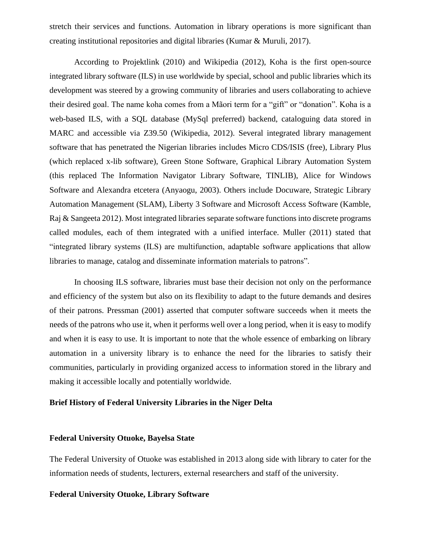stretch their services and functions. Automation in library operations is more significant than creating institutional repositories and digital libraries (Kumar & Muruli, 2017).

According to Projektlink (2010) and Wikipedia (2012), Koha is the first open-source integrated library software (ILS) in use worldwide by special, school and public libraries which its development was steered by a growing community of libraries and users collaborating to achieve their desired goal. The name koha comes from a Mãori term for a "gift" or "donation". Koha is a web-based ILS, with a SQL database (MySql preferred) backend, cataloguing data stored in MARC and accessible via Z39.50 (Wikipedia, 2012). Several integrated library management software that has penetrated the Nigerian libraries includes Micro CDS/ISIS (free), Library Plus (which replaced x-lib software), Green Stone Software, Graphical Library Automation System (this replaced The Information Navigator Library Software, TINLIB), Alice for Windows Software and Alexandra etcetera (Anyaogu, 2003). Others include Docuware, Strategic Library Automation Management (SLAM), Liberty 3 Software and Microsoft Access Software (Kamble, Raj & Sangeeta 2012). Most integrated libraries separate software functions into discrete programs called modules, each of them integrated with a unified interface. Muller (2011) stated that "integrated library systems (ILS) are multifunction, adaptable software applications that allow libraries to manage, catalog and disseminate information materials to patrons".

In choosing ILS software, libraries must base their decision not only on the performance and efficiency of the system but also on its flexibility to adapt to the future demands and desires of their patrons. Pressman (2001) asserted that computer software succeeds when it meets the needs of the patrons who use it, when it performs well over a long period, when it is easy to modify and when it is easy to use. It is important to note that the whole essence of embarking on library automation in a university library is to enhance the need for the libraries to satisfy their communities, particularly in providing organized access to information stored in the library and making it accessible locally and potentially worldwide.

#### **Brief History of Federal University Libraries in the Niger Delta**

#### **Federal University Otuoke, Bayelsa State**

The Federal University of Otuoke was established in 2013 along side with library to cater for the information needs of students, lecturers, external researchers and staff of the university.

#### **Federal University Otuoke, Library Software**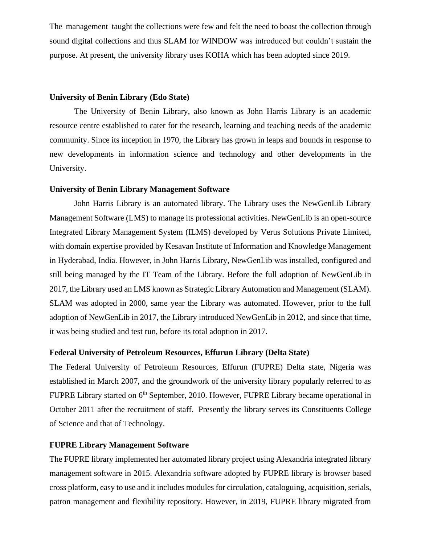The management taught the collections were few and felt the need to boast the collection through sound digital collections and thus SLAM for WINDOW was introduced but couldn't sustain the purpose. At present, the university library uses KOHA which has been adopted since 2019.

#### **University of Benin Library (Edo State)**

The University of Benin Library, also known as John Harris Library is an academic resource centre established to cater for the research, learning and teaching needs of the academic community. Since its inception in 1970, the Library has grown in leaps and bounds in response to new developments in information science and technology and other developments in the University.

#### **University of Benin Library Management Software**

John Harris Library is an automated library. The Library uses the NewGenLib Library Management Software (LMS) to manage its professional activities. NewGenLib is an open-source Integrated Library Management System (ILMS) developed by Verus Solutions Private Limited, with domain expertise provided by Kesavan Institute of Information and Knowledge Management in Hyderabad, India. However, in John Harris Library, NewGenLib was installed, configured and still being managed by the IT Team of the Library. Before the full adoption of NewGenLib in 2017, the Library used an LMS known as Strategic Library Automation and Management (SLAM). SLAM was adopted in 2000, same year the Library was automated. However, prior to the full adoption of NewGenLib in 2017, the Library introduced NewGenLib in 2012, and since that time, it was being studied and test run, before its total adoption in 2017.

#### **Federal University of Petroleum Resources, Effurun Library (Delta State)**

The Federal University of Petroleum Resources, Effurun (FUPRE) Delta state, Nigeria was established in March 2007, and the groundwork of the university library popularly referred to as FUPRE Library started on 6<sup>th</sup> September, 2010. However, FUPRE Library became operational in October 2011 after the recruitment of staff. Presently the library serves its Constituents College of Science and that of Technology.

#### **FUPRE Library Management Software**

The FUPRE library implemented her automated library project using Alexandria integrated library management software in 2015. Alexandria software adopted by FUPRE library is browser based cross platform, easy to use and it includes modules for circulation, cataloguing, acquisition, serials, patron management and flexibility repository. However, in 2019, FUPRE library migrated from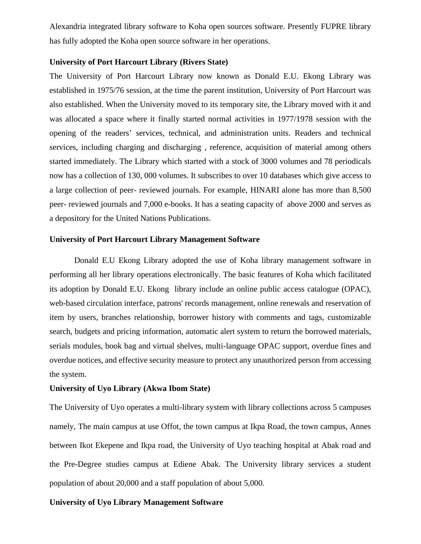Alexandria integrated library software to Koha open sources software. Presently FUPRE library has fully adopted the Koha open source software in her operations.

#### **University of Port Harcourt Library (Rivers State)**

The University of Port Harcourt Library now known as Donald E.U. Ekong Library was established in 1975/76 session, at the time the parent institution, University of Port Harcourt was also established. When the University moved to its temporary site, the Library moved with it and was allocated a space where it finally started normal activities in 1977/1978 session with the opening of the readers' services, technical, and administration units. Readers and technical services, including charging and discharging , reference, acquisition of material among others started immediately. The Library which started with a stock of 3000 volumes and 78 periodicals now has a collection of 130, 000 volumes. It subscribes to over 10 databases which give access to a large collection of peer- reviewed journals. For example, HINARI alone has more than 8,500 peer- reviewed journals and 7,000 e-books. It has a seating capacity of above 2000 and serves as a depository for the United Nations Publications.

#### **University of Port Harcourt Library Management Software**

Donald E.U Ekong Library adopted the use of Koha library management software in performing all her library operations electronically. The basic features of Koha which facilitated its adoption by Donald E.U. Ekong library include an online public access catalogue (OPAC), web-based circulation interface, patrons' records management, online renewals and reservation of item by users, branches relationship, borrower history with comments and tags, customizable search, budgets and pricing information, automatic alert system to return the borrowed materials, serials modules, book bag and virtual shelves, multi-language OPAC support, overdue fines and overdue notices, and effective security measure to protect any unauthorized person from accessing the system.

#### **University of Uyo Library (Akwa Ibom State)**

The University of Uyo operates a multi-library system with library collections across 5 campuses namely, The main campus at use Offot, the town campus at Ikpa Road, the town campus, Annes between Ikot Ekepene and Ikpa road, the University of Uyo teaching hospital at Abak road and the Pre-Degree studies campus at Ediene Abak. The University library services a student population of about 20,000 and a staff population of about 5,000.

#### **University of Uyo Library Management Software**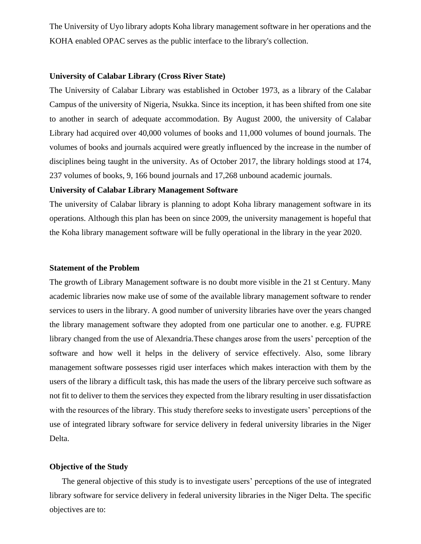The University of Uyo library adopts Koha library management software in her operations and the KOHA enabled OPAC serves as the public interface to the library's collection.

#### **University of Calabar Library (Cross River State)**

The University of Calabar Library was established in October 1973, as a library of the Calabar Campus of the university of Nigeria, Nsukka. Since its inception, it has been shifted from one site to another in search of adequate accommodation. By August 2000, the university of Calabar Library had acquired over 40,000 volumes of books and 11,000 volumes of bound journals. The volumes of books and journals acquired were greatly influenced by the increase in the number of disciplines being taught in the university. As of October 2017, the library holdings stood at 174, 237 volumes of books, 9, 166 bound journals and 17,268 unbound academic journals.

#### **University of Calabar Library Management Software**

The university of Calabar library is planning to adopt Koha library management software in its operations. Although this plan has been on since 2009, the university management is hopeful that the Koha library management software will be fully operational in the library in the year 2020.

#### **Statement of the Problem**

The growth of Library Management software is no doubt more visible in the 21 st Century. Many academic libraries now make use of some of the available library management software to render services to users in the library. A good number of university libraries have over the years changed the library management software they adopted from one particular one to another. e.g. FUPRE library changed from the use of Alexandria.These changes arose from the users' perception of the software and how well it helps in the delivery of service effectively. Also, some library management software possesses rigid user interfaces which makes interaction with them by the users of the library a difficult task, this has made the users of the library perceive such software as not fit to deliver to them the services they expected from the library resulting in user dissatisfaction with the resources of the library. This study therefore seeks to investigate users' perceptions of the use of integrated library software for service delivery in federal university libraries in the Niger Delta.

#### **Objective of the Study**

The general objective of this study is to investigate users' perceptions of the use of integrated library software for service delivery in federal university libraries in the Niger Delta. The specific objectives are to: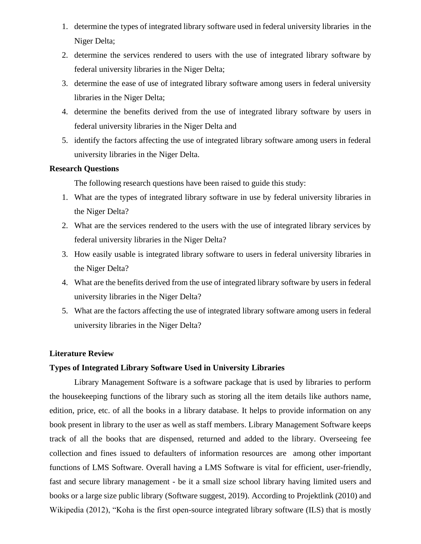- 1. determine the types of integrated library software used in federal university libraries in the Niger Delta;
- 2. determine the services rendered to users with the use of integrated library software by federal university libraries in the Niger Delta;
- 3. determine the ease of use of integrated library software among users in federal university libraries in the Niger Delta;
- 4. determine the benefits derived from the use of integrated library software by users in federal university libraries in the Niger Delta and
- 5. identify the factors affecting the use of integrated library software among users in federal university libraries in the Niger Delta.

#### **Research Questions**

The following research questions have been raised to guide this study:

- 1. What are the types of integrated library software in use by federal university libraries in the Niger Delta?
- 2. What are the services rendered to the users with the use of integrated library services by federal university libraries in the Niger Delta?
- 3. How easily usable is integrated library software to users in federal university libraries in the Niger Delta?
- 4. What are the benefits derived from the use of integrated library software by users in federal university libraries in the Niger Delta?
- 5. What are the factors affecting the use of integrated library software among users in federal university libraries in the Niger Delta?

#### **Literature Review**

#### **Types of Integrated Library Software Used in University Libraries**

Library Management Software is a software package that is used by libraries to perform the housekeeping functions of the library such as storing all the item details like authors name, edition, price, etc. of all the books in a library database. It helps to provide information on any book present in library to the user as well as staff members. Library Management Software keeps track of all the books that are dispensed, returned and added to the library. Overseeing fee collection and fines issued to defaulters of information resources are among other important functions of LMS Software. Overall having a LMS Software is vital for efficient, user-friendly, fast and secure library management - be it a small size school library having limited users and books or a large size public library (Software suggest, 2019). According to Projektlink (2010) and Wikipedia (2012), "Koha is the first open-source integrated library software (ILS) that is mostly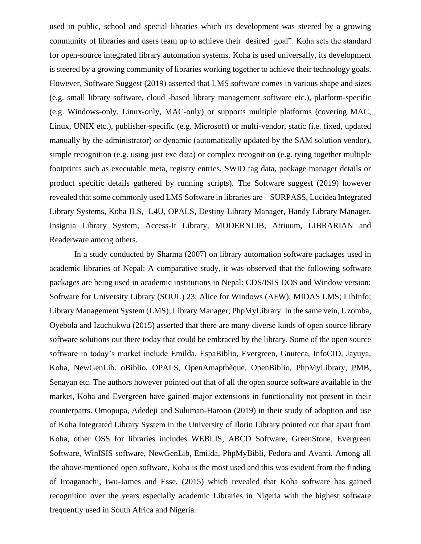used in public, school and special libraries which its development was steered by a growing community of libraries and users team up to achieve their desired goal". Koha sets the standard for open-source integrated library automation systems. Koha is used universally, its development is steered by a growing community of libraries working together to achieve their technology goals. However, Software Suggest (2019) asserted that LMS software comes in various shape and sizes (e.g. small library software, cloud -based library management software etc.), platform-specific (e.g. Windows-only, Linux-only, MAC-only) or supports multiple platforms (covering MAC, Linux, UNIX etc.), publisher-specific (e.g. Microsoft) or multi-vendor, static (i.e. fixed, updated manually by the administrator) or dynamic (automatically updated by the SAM solution vendor), simple recognition (e.g. using just exe data) or complex recognition (e.g. tying together multiple footprints such as executable meta, registry entries, SWID tag data, package manager details or product specific details gathered by running scripts). The Software suggest (2019) however revealed that some commonly used LMS Software in libraries are – SURPASS, Lucidea Integrated Library Systems, Koha ILS, L4U, OPALS, Destiny Library Manager, Handy Library Manager, Insignia Library System, Access-It Library, MODERNLIB, Atriuum, LIBRARIAN and Readerware among others.

In a study conducted by Sharma (2007) on library automation software packages used in academic libraries of Nepal: A comparative study, it was observed that the following software packages are being used in academic institutions in Nepal: CDS/ISIS DOS and Window version; Software for University Library (SOUL) 23; Alice for Windows (AFW); MIDAS LMS; LibInfo; Library Management System (LMS); Library Manager; PhpMyLibrary. In the same vein, Uzomba, Oyebola and Izuchukwu (2015) asserted that there are many diverse kinds of open source library software solutions out there today that could be embraced by the library. Some of the open source software in today's market include Emilda, EspaBiblio, Evergreen, Gnuteca, InfoCID, Jayuya, Koha, NewGenLib. oBiblio, OPALS, OpenAmapthèque, OpenBiblio, PhpMyLibrary, PMB, Senayan etc. The authors however pointed out that of all the open source software available in the market, Koha and Evergreen have gained major extensions in functionality not present in their counterparts. Omopupa, Adedeji and Suluman-Haroon (2019) in their study of adoption and use of Koha Integrated Library System in the University of Ilorin Library pointed out that apart from Koha, other OSS for libraries includes WEBLIS, ABCD Software, GreenStone, Evergreen Software, WinISIS software, NewGenLib, Emilda, PhpMyBibli, Fedora and Avanti. Among all the above-mentioned open software, Koha is the most used and this was evident from the finding of Iroaganachi, Iwu-James and Esse, (2015) which revealed that Koha software has gained recognition over the years especially academic Libraries in Nigeria with the highest software frequently used in South Africa and Nigeria.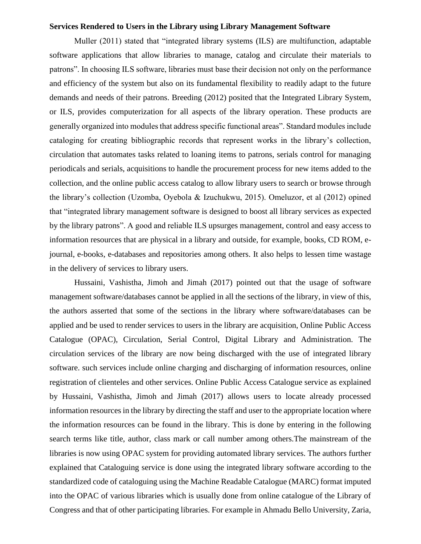#### **Services Rendered to Users in the Library using Library Management Software**

Muller (2011) stated that "integrated library systems (ILS) are multifunction, adaptable software applications that allow libraries to manage, catalog and circulate their materials to patrons". In choosing ILS software, libraries must base their decision not only on the performance and efficiency of the system but also on its fundamental flexibility to readily adapt to the future demands and needs of their patrons. Breeding (2012) posited that the Integrated Library System, or ILS, provides computerization for all aspects of the library operation. These products are generally organized into modules that address specific functional areas". Standard modules include cataloging for creating bibliographic records that represent works in the library's collection, circulation that automates tasks related to loaning items to patrons, serials control for managing periodicals and serials, acquisitions to handle the procurement process for new items added to the collection, and the online public access catalog to allow library users to search or browse through the library's collection (Uzomba, Oyebola & Izuchukwu, 2015). Omeluzor, et al (2012) opined that "integrated library management software is designed to boost all library services as expected by the library patrons". A good and reliable ILS upsurges management, control and easy access to information resources that are physical in a library and outside, for example, books, CD ROM, ejournal, e-books, e-databases and repositories among others. It also helps to lessen time wastage in the delivery of services to library users.

Hussaini, Vashistha, Jimoh and Jimah (2017) pointed out that the usage of software management software/databases cannot be applied in all the sections of the library, in view of this, the authors asserted that some of the sections in the library where software/databases can be applied and be used to render services to users in the library are acquisition, Online Public Access Catalogue (OPAC), Circulation, Serial Control, Digital Library and Administration. The circulation services of the library are now being discharged with the use of integrated library software. such services include online charging and discharging of information resources, online registration of clienteles and other services. Online Public Access Catalogue service as explained by Hussaini, Vashistha, Jimoh and Jimah (2017) allows users to locate already processed information resources in the library by directing the staff and user to the appropriate location where the information resources can be found in the library. This is done by entering in the following search terms like title, author, class mark or call number among others.The mainstream of the libraries is now using OPAC system for providing automated library services. The authors further explained that Cataloguing service is done using the integrated library software according to the standardized code of cataloguing using the Machine Readable Catalogue (MARC) format imputed into the OPAC of various libraries which is usually done from online catalogue of the Library of Congress and that of other participating libraries. For example in Ahmadu Bello University, Zaria,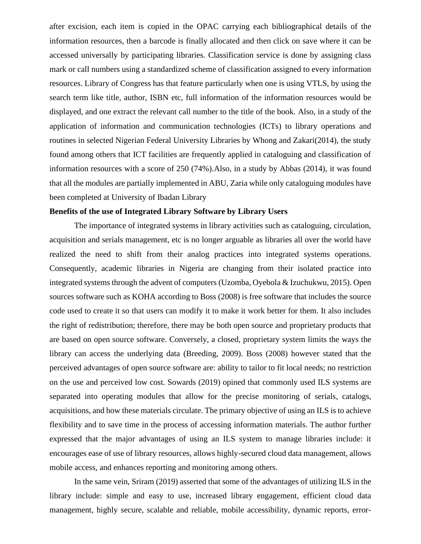after excision, each item is copied in the OPAC carrying each bibliographical details of the information resources, then a barcode is finally allocated and then click on save where it can be accessed universally by participating libraries. Classification service is done by assigning class mark or call numbers using a standardized scheme of classification assigned to every information resources. Library of Congress has that feature particularly when one is using VTLS, by using the search term like title, author, ISBN etc, full information of the information resources would be displayed, and one extract the relevant call number to the title of the book. Also, in a study of the application of information and communication technologies (ICTs) to library operations and routines in selected Nigerian Federal University Libraries by Whong and Zakari(2014), the study found among others that ICT facilities are frequently applied in cataloguing and classification of information resources with a score of 250 (74%).Also, in a study by Abbas (2014), it was found that all the modules are partially implemented in ABU, Zaria while only cataloguing modules have been completed at University of Ibadan Library

#### **Benefits of the use of Integrated Library Software by Library Users**

The importance of integrated systems in library activities such as cataloguing, circulation, acquisition and serials management, etc is no longer arguable as libraries all over the world have realized the need to shift from their analog practices into integrated systems operations. Consequently, academic libraries in Nigeria are changing from their isolated practice into integrated systems through the advent of computers (Uzomba, Oyebola & Izuchukwu, 2015). Open sources software such as KOHA according to Boss (2008) is free software that includes the source code used to create it so that users can modify it to make it work better for them. It also includes the right of redistribution; therefore, there may be both open source and proprietary products that are based on open source software. Conversely, a closed, proprietary system limits the ways the library can access the underlying data (Breeding, 2009). Boss (2008) however stated that the perceived advantages of open source software are: ability to tailor to fit local needs; no restriction on the use and perceived low cost. Sowards (2019) opined that commonly used ILS systems are separated into operating modules that allow for the precise monitoring of serials, catalogs, acquisitions, and how these materials circulate. The primary objective of using an ILS is to achieve flexibility and to save time in the process of accessing information materials. The author further expressed that the major advantages of using an ILS system to manage libraries include: it encourages ease of use of library resources, allows highly-secured cloud data management, allows mobile access, and enhances reporting and monitoring among others.

In the same vein, Sriram (2019) asserted that some of the advantages of utilizing ILS in the library include: simple and easy to use, increased library engagement, efficient cloud data management, highly secure, scalable and reliable, mobile accessibility, dynamic reports, error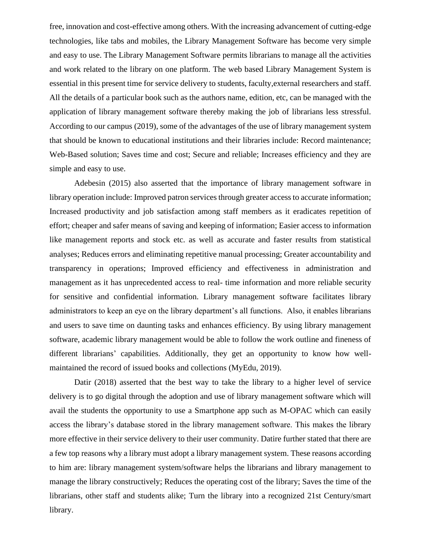free, innovation and cost-effective among others. With the increasing advancement of cutting-edge technologies, like tabs and mobiles, the Library Management Software has become very simple and easy to use. The Library Management Software permits librarians to manage all the activities and work related to the library on one platform. The web based Library Management System is essential in this present time for service delivery to students, faculty,external researchers and staff. All the details of a particular book such as the authors name, edition, etc, can be managed with the application of library management software thereby making the job of librarians less stressful. According to our campus (2019), some of the advantages of the use of library management system that should be known to educational institutions and their libraries include: Record maintenance; Web-Based solution; Saves time and cost; Secure and reliable; Increases efficiency and they are simple and easy to use.

Adebesin (2015) also asserted that the importance of library management software in library operation include: Improved patron services through greater access to accurate information; Increased productivity and job satisfaction among staff members as it eradicates repetition of effort; cheaper and safer means of saving and keeping of information; Easier access to information like management reports and stock etc. as well as accurate and faster results from statistical analyses; Reduces errors and eliminating repetitive manual processing; Greater accountability and transparency in operations; Improved efficiency and effectiveness in administration and management as it has unprecedented access to real- time information and more reliable security for sensitive and confidential information. Library management software facilitates library administrators to keep an eye on the library department's all functions. Also, it enables librarians and users to save time on daunting tasks and enhances efficiency. By using library management software, academic library management would be able to follow the work outline and fineness of different librarians' capabilities. Additionally, they get an opportunity to know how wellmaintained the record of issued books and collections (MyEdu, 2019).

Datir (2018) asserted that the best way to take the library to a higher level of service delivery is to go digital through the adoption and use of library management software which will avail the students the opportunity to use a Smartphone app such as M-OPAC which can easily access the library's database stored in the library management software. This makes the library more effective in their service delivery to their user community. Datire further stated that there are a few top reasons why a library must adopt a library management system. These reasons according to him are: library management system/software helps the librarians and library management to manage the library constructively; Reduces the operating cost of the library; Saves the time of the librarians, other staff and students alike; Turn the library into a recognized 21st Century/smart library.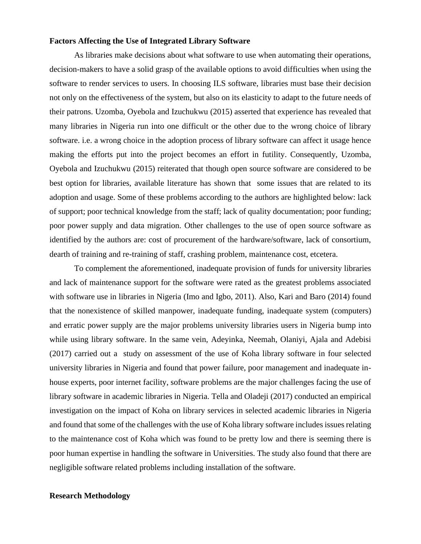#### **Factors Affecting the Use of Integrated Library Software**

As libraries make decisions about what software to use when automating their operations, decision-makers to have a solid grasp of the available options to avoid difficulties when using the software to render services to users. In choosing ILS software, libraries must base their decision not only on the effectiveness of the system, but also on its elasticity to adapt to the future needs of their patrons. Uzomba, Oyebola and Izuchukwu (2015) asserted that experience has revealed that many libraries in Nigeria run into one difficult or the other due to the wrong choice of library software. i.e. a wrong choice in the adoption process of library software can affect it usage hence making the efforts put into the project becomes an effort in futility. Consequently, Uzomba, Oyebola and Izuchukwu (2015) reiterated that though open source software are considered to be best option for libraries, available literature has shown that some issues that are related to its adoption and usage. Some of these problems according to the authors are highlighted below: lack of support; poor technical knowledge from the staff; lack of quality documentation; poor funding; poor power supply and data migration. Other challenges to the use of open source software as identified by the authors are: cost of procurement of the hardware/software, lack of consortium, dearth of training and re-training of staff, crashing problem, maintenance cost, etcetera.

To complement the aforementioned, inadequate provision of funds for university libraries and lack of maintenance support for the software were rated as the greatest problems associated with software use in libraries in Nigeria (Imo and Igbo, 2011). Also, Kari and Baro (2014) found that the nonexistence of skilled manpower, inadequate funding, inadequate system (computers) and erratic power supply are the major problems university libraries users in Nigeria bump into while using library software. In the same vein, Adeyinka, Neemah, Olaniyi, Ajala and Adebisi (2017) carried out a study on assessment of the use of Koha library software in four selected university libraries in Nigeria and found that power failure, poor management and inadequate inhouse experts, poor internet facility, software problems are the major challenges facing the use of library software in academic libraries in Nigeria. Tella and Oladeji (2017) conducted an empirical investigation on the impact of Koha on library services in selected academic libraries in Nigeria and found that some of the challenges with the use of Koha library software includes issues relating to the maintenance cost of Koha which was found to be pretty low and there is seeming there is poor human expertise in handling the software in Universities. The study also found that there are negligible software related problems including installation of the software.

#### **Research Methodology**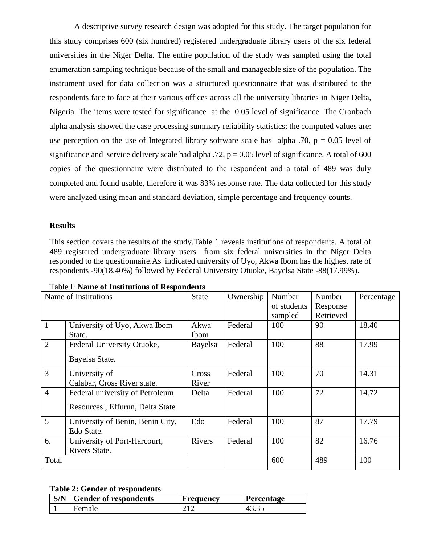A descriptive survey research design was adopted for this study. The target population for this study comprises 600 (six hundred) registered undergraduate library users of the six federal universities in the Niger Delta. The entire population of the study was sampled using the total enumeration sampling technique because of the small and manageable size of the population. The instrument used for data collection was a structured questionnaire that was distributed to the respondents face to face at their various offices across all the university libraries in Niger Delta, Nigeria. The items were tested for significance at the 0.05 level of significance. The Cronbach alpha analysis showed the case processing summary reliability statistics; the computed values are: use perception on the use of Integrated library software scale has alpha .70,  $p = 0.05$  level of significance and service delivery scale had alpha .72,  $p = 0.05$  level of significance. A total of 600 copies of the questionnaire were distributed to the respondent and a total of 489 was duly completed and found usable, therefore it was 83% response rate. The data collected for this study were analyzed using mean and standard deviation, simple percentage and frequency counts.

#### **Results**

This section covers the results of the study.Table 1 reveals institutions of respondents. A total of 489 registered undergraduate library users from six federal universities in the Niger Delta responded to the questionnaire.As indicated university of Uyo, Akwa Ibom has the highest rate of respondents -90(18.40%) followed by Federal University Otuoke, Bayelsa State -88(17.99%).

|                | Name of Institutions             | <b>State</b> | Ownership | Number      | Number    | Percentage |
|----------------|----------------------------------|--------------|-----------|-------------|-----------|------------|
|                |                                  |              |           | of students | Response  |            |
|                |                                  |              |           | sampled     | Retrieved |            |
| $\mathbf{1}$   | University of Uyo, Akwa Ibom     | Akwa         | Federal   | 100         | 90        | 18.40      |
|                | State.                           | Ibom         |           |             |           |            |
| $\overline{2}$ | Federal University Otuoke,       | Bayelsa      | Federal   | 100         | 88        | 17.99      |
|                | Bayelsa State.                   |              |           |             |           |            |
| 3              | University of                    | Cross        | Federal   | 100         | 70        | 14.31      |
|                | Calabar, Cross River state.      | River        |           |             |           |            |
| $\overline{4}$ | Federal university of Petroleum  | Delta        | Federal   | 100         | 72        | 14.72      |
|                | Resources, Effurun, Delta State  |              |           |             |           |            |
| 5              | University of Benin, Benin City, | Edo          | Federal   | 100         | 87        | 17.79      |
|                | Edo State.                       |              |           |             |           |            |
| 6.             | University of Port-Harcourt,     | Rivers       | Federal   | 100         | 82        | 16.76      |
|                | Rivers State.                    |              |           |             |           |            |
| Total          |                                  |              |           | 600         | 489       | 100        |

Table I: **Name of Institutions of Respondents**

#### **Table 2: Gender of respondents**

| S/N | <b>Gender of respondents</b> | Frequency | Percentage |
|-----|------------------------------|-----------|------------|
|     | <b>Female</b>                |           | 43.5c      |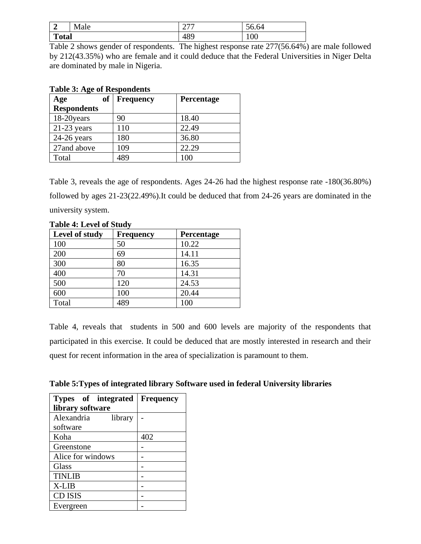| $\rightarrow$ | Male | $\sqrt{2}$   | $\sim$<br>$\sim$ 1<br>56.64 |
|---------------|------|--------------|-----------------------------|
| <b>Total</b>  |      | 4 Q C<br>τ∪∠ | 100                         |

Table 2 shows gender of respondents. The highest response rate 277(56.64%) are male followed by 212(43.35%) who are female and it could deduce that the Federal Universities in Niger Delta are dominated by male in Nigeria.

| Age                | of | <b>Frequency</b> | Percentage |
|--------------------|----|------------------|------------|
| <b>Respondents</b> |    |                  |            |
| 18-20years         |    | 90               | 18.40      |
| $21-23$ years      |    | 110              | 22.49      |
| $24-26$ years      |    | 180              | 36.80      |
| 27and above        |    | 109              | 22.29      |
| Total              |    | 489              | 100        |

| <b>Table 3: Age of Respondents</b> |  |  |  |
|------------------------------------|--|--|--|
|                                    |  |  |  |

Table 3, reveals the age of respondents. Ages 24-26 had the highest response rate -180(36.80%) followed by ages 21-23(22.49%).It could be deduced that from 24-26 years are dominated in the university system.

| Level of study | <b>Frequency</b> | Percentage |
|----------------|------------------|------------|
| 100            | 50               | 10.22      |
| 200            | 69               | 14.11      |
| 300            | 80               | 16.35      |
| 400            | 70               | 14.31      |
| 500            | 120              | 24.53      |
| 600            | 100              | 20.44      |
| Total          | 489              | 100        |

Table 4, reveals that students in 500 and 600 levels are majority of the respondents that participated in this exercise. It could be deduced that are mostly interested in research and their quest for recent information in the area of specialization is paramount to them.

| Table 5:Types of integrated library Software used in federal University libraries |  |  |
|-----------------------------------------------------------------------------------|--|--|
|-----------------------------------------------------------------------------------|--|--|

| Types of integrated   | <b>Frequency</b> |
|-----------------------|------------------|
| library software      |                  |
| Alexandria<br>library |                  |
| software              |                  |
| Koha                  | 402              |
| Greenstone            |                  |
| Alice for windows     |                  |
| <b>Glass</b>          |                  |
| <b>TINLIB</b>         |                  |
| $X-LIB$               |                  |
| <b>CD ISIS</b>        |                  |
| Evergreen             |                  |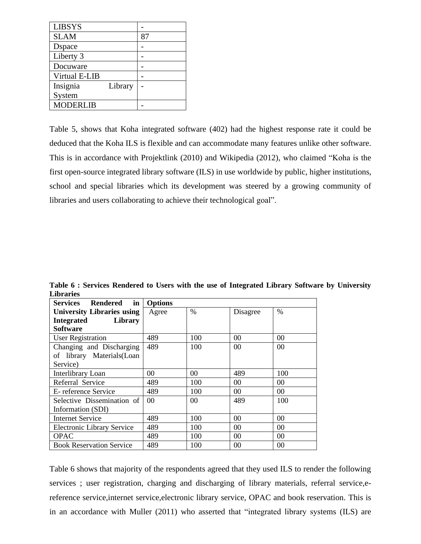| <b>LIBSYS</b>        |         |    |
|----------------------|---------|----|
| <b>SLAM</b>          |         | 87 |
| <b>D</b> space       |         |    |
| Liberty 3            |         |    |
| Docuware             |         |    |
| <b>Virtual E-LIB</b> |         |    |
| Insignia             | Library |    |
| System               |         |    |
| <b>MODERLIB</b>      |         |    |
|                      |         |    |

Table 5, shows that Koha integrated software (402) had the highest response rate it could be deduced that the Koha ILS is flexible and can accommodate many features unlike other software. This is in accordance with Projektlink (2010) and Wikipedia (2012), who claimed "Koha is the first open-source integrated library software (ILS) in use worldwide by public, higher institutions, school and special libraries which its development was steered by a growing community of libraries and users collaborating to achieve their technological goal".

| Services Rendered<br>in           | <b>Options</b>  |                 |                 |                 |
|-----------------------------------|-----------------|-----------------|-----------------|-----------------|
| <b>University Libraries using</b> | Agree           | $\%$            | Disagree        | $\%$            |
| <b>Integrated</b><br>Library      |                 |                 |                 |                 |
| <b>Software</b>                   |                 |                 |                 |                 |
| <b>User Registration</b>          | 489             | 100             | 00 <sup>0</sup> | $00\,$          |
| Changing and Discharging          | 489             | 100             | 00 <sup>0</sup> | $00\,$          |
| of library Materials(Loan         |                 |                 |                 |                 |
| Service)                          |                 |                 |                 |                 |
| Interlibrary Loan                 | 00 <sup>2</sup> | 00 <sup>1</sup> | 489             | 100             |
| Referral Service                  | 489             | 100             | 00 <sup>1</sup> | $00\,$          |
| E-reference Service               | 489             | 100             | 00 <sup>1</sup> | $00\,$          |
| Selective Dissemination of        | $00\,$          | 0 <sup>0</sup>  | 489             | 100             |
| Information (SDI)                 |                 |                 |                 |                 |
| <b>Internet Service</b>           | 489             | 100             | 00              | $00\,$          |
| <b>Electronic Library Service</b> | 489             | 100             | $00\,$          | $00\,$          |
| <b>OPAC</b>                       | 489             | 100             | 00 <sup>0</sup> | 00 <sup>2</sup> |
| <b>Book Reservation Service</b>   | 489             | 100             | 00              | 00              |

**Table 6 : Services Rendered to Users with the use of Integrated Library Software by University Libraries**

Table 6 shows that majority of the respondents agreed that they used ILS to render the following services ; user registration, charging and discharging of library materials, referral service,ereference service,internet service,electronic library service, OPAC and book reservation. This is in an accordance with Muller (2011) who asserted that "integrated library systems (ILS) are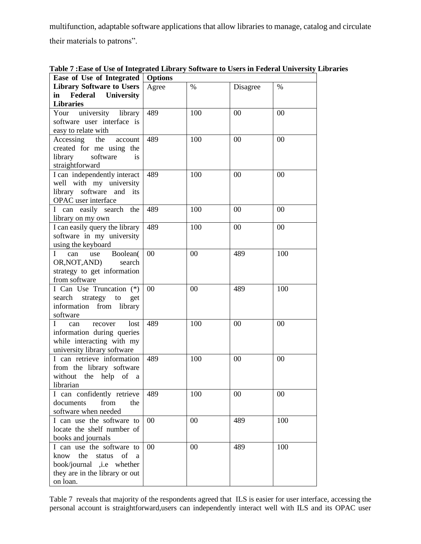multifunction, adaptable software applications that allow libraries to manage, catalog and circulate their materials to patrons".

| Ease of Use of Integrated              | <b>Options</b> |      |          |               |
|----------------------------------------|----------------|------|----------|---------------|
| <b>Library Software to Users</b>       | Agree          | $\%$ | Disagree | $\frac{0}{0}$ |
| <b>Federal</b> University<br>in        |                |      |          |               |
| <b>Libraries</b>                       |                |      |          |               |
| university library<br>Your             | 489            | 100  | 00       | 00            |
| software user interface is             |                |      |          |               |
| easy to relate with                    |                |      |          |               |
| Accessing the<br>account               | 489            | 100  | 00       | 00            |
| created for me using the               |                |      |          |               |
| software<br>library<br>is              |                |      |          |               |
| straightforward                        |                |      |          |               |
|                                        | 489            | 100  | $00\,$   | 00            |
| I can independently interact           |                |      |          |               |
| well with my university                |                |      |          |               |
| library<br>software<br>and its         |                |      |          |               |
| OPAC user interface                    |                |      |          |               |
| I can easily search the                | 489            | 100  | $00\,$   | 00            |
| library on my own                      |                |      |          |               |
| I can easily query the library         | 489            | 100  | 00       | 00            |
| software in my university              |                |      |          |               |
| using the keyboard                     |                |      |          |               |
| $\mathbf{I}$<br>Boolean(<br>can<br>use | 00             | 00   | 489      | 100           |
| OR, NOT, AND)<br>search                |                |      |          |               |
| strategy to get information            |                |      |          |               |
| from software                          |                |      |          |               |
| I Can Use Truncation (*)               | 00             | 00   | 489      | 100           |
| search<br>strategy<br>get<br>to        |                |      |          |               |
| information from<br>library            |                |      |          |               |
| software                               |                |      |          |               |
| $\mathbf{I}$<br>lost<br>recover<br>can | 489            | 100  | 00       | 00            |
| information during queries             |                |      |          |               |
| while interacting with my              |                |      |          |               |
| university library software            |                |      |          |               |
| I can retrieve information             | 489            | 100  | $00\,$   | 00            |
| from the library software              |                |      |          |               |
| without the help<br>of<br><sub>a</sub> |                |      |          |               |
| librarian                              |                |      |          |               |
| I can confidently retrieve             | 489            | 100  | 00       | $00\,$        |
| from<br>documents<br>the               |                |      |          |               |
| software when needed                   |                |      |          |               |
| I can use the software to              | 00             | 00   | 489      | 100           |
| locate the shelf number of             |                |      |          |               |
| books and journals                     |                |      |          |               |
| I can use the software to              | 00             | 00   | 489      | 100           |
|                                        |                |      |          |               |
| know<br>the<br>status<br>οf<br>a       |                |      |          |               |
| book/journal ,i.e whether              |                |      |          |               |
| they are in the library or out         |                |      |          |               |
| on loan.                               |                |      |          |               |

**Table 7 :Ease of Use of Integrated Library Software to Users in Federal University Libraries**

Table 7 reveals that majority of the respondents agreed that ILS is easier for user interface, accessing the personal account is straightforward,users can independently interact well with ILS and its OPAC user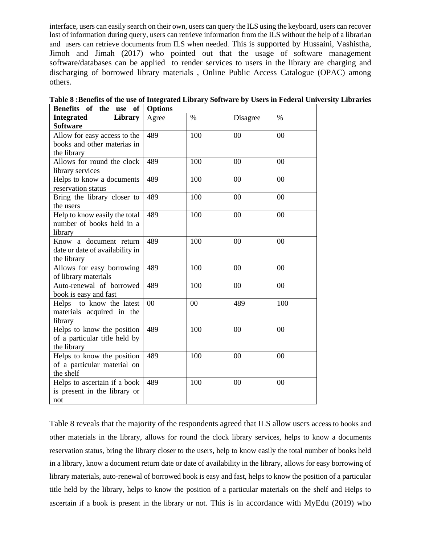interface, users can easily search on their own, users can query the ILS using the keyboard, users can recover lost of information during query, users can retrieve information from the ILS without the help of a librarian and users can retrieve documents from ILS when needed. This is supported by Hussaini, Vashistha, Jimoh and Jimah (2017) who pointed out that the usage of software management software/databases can be applied to render services to users in the library are charging and discharging of borrowed library materials , Online Public Access Catalogue (OPAC) among others.

| Benefits of the use of          | <b>Options</b> |      |                |                |  |
|---------------------------------|----------------|------|----------------|----------------|--|
| Library<br><b>Integrated</b>    | Agree          | $\%$ | Disagree       | $\%$           |  |
| <b>Software</b>                 |                |      |                |                |  |
| Allow for easy access to the    | 489            | 100  | 00             | 00             |  |
| books and other materias in     |                |      |                |                |  |
| the library                     |                |      |                |                |  |
| Allows for round the clock      | 489            | 100  | 00             | 00             |  |
| library services                |                |      |                |                |  |
| Helps to know a documents       | 489            | 100  | 00             | 00             |  |
| reservation status              |                |      |                |                |  |
| Bring the library closer to     | 489            | 100  | $00\,$         | 00             |  |
| the users                       |                |      |                |                |  |
| Help to know easily the total   | 489            | 100  | 00             | 00             |  |
| number of books held in a       |                |      |                |                |  |
| library                         |                |      |                |                |  |
| Know a document return          | 489            | 100  | 00             | 00             |  |
| date or date of availability in |                |      |                |                |  |
| the library                     |                |      |                |                |  |
| Allows for easy borrowing       | 489            | 100  | $00\,$         | $00\,$         |  |
| of library materials            |                |      |                |                |  |
| Auto-renewal of borrowed        | 489            | 100  | 00             | 00             |  |
| book is easy and fast           |                |      |                |                |  |
| Helps to know the latest        | 00             | 00   | 489            | 100            |  |
| materials acquired in the       |                |      |                |                |  |
| library                         |                |      |                |                |  |
| Helps to know the position      | 489            | 100  | 00             | 00             |  |
| of a particular title held by   |                |      |                |                |  |
| the library                     |                |      |                |                |  |
| Helps to know the position      | 489            | 100  | 00             | 00             |  |
| of a particular material on     |                |      |                |                |  |
| the shelf                       |                |      |                |                |  |
| Helps to ascertain if a book    | 489            | 100  | 0 <sup>0</sup> | 0 <sup>0</sup> |  |
| is present in the library or    |                |      |                |                |  |
| not                             |                |      |                |                |  |

**Table 8 :Benefits of the use of Integrated Library Software by Users in Federal University Libraries**

Table 8 reveals that the majority of the respondents agreed that ILS allow users access to books and other materials in the library, allows for round the clock library services, helps to know a documents reservation status, bring the library closer to the users, help to know easily the total number of books held in a library, know a document return date or date of availability in the library, allows for easy borrowing of library materials, auto-renewal of borrowed book is easy and fast, helps to know the position of a particular title held by the library, helps to know the position of a particular materials on the shelf and Helps to ascertain if a book is present in the library or not. This is in accordance with MyEdu (2019) who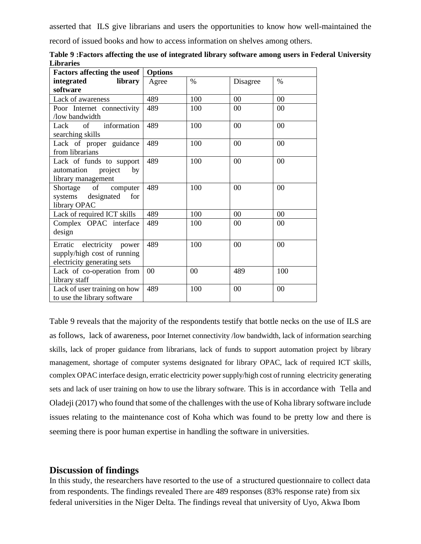asserted that ILS give librarians and users the opportunities to know how well-maintained the record of issued books and how to access information on shelves among others.

| <b>Factors affecting the useof</b> | <b>Options</b> |      |          |                |  |
|------------------------------------|----------------|------|----------|----------------|--|
| integrated<br>library              | Agree          | $\%$ | Disagree | $\%$           |  |
| software                           |                |      |          |                |  |
| Lack of awareness                  | 489            | 100  | 00       | 00             |  |
| Poor Internet connectivity         | 489            | 100  | $00\,$   | $00\,$         |  |
| /low bandwidth                     |                |      |          |                |  |
| of<br>information<br>Lack          | 489            | 100  | 00       | 00             |  |
| searching skills                   |                |      |          |                |  |
| Lack of proper guidance            | 489            | 100  | $00\,$   | $00\,$         |  |
| from librarians                    |                |      |          |                |  |
| Lack of funds to support           | 489            | 100  | 00       | 00             |  |
| automation<br>project<br>by        |                |      |          |                |  |
| library management                 |                |      |          |                |  |
| Shortage of<br>computer            | 489            | 100  | 00       | 00             |  |
| systems designated for             |                |      |          |                |  |
| library OPAC                       |                |      |          |                |  |
| Lack of required ICT skills        | 489            | 100  | $00\,$   | 0 <sup>0</sup> |  |
| Complex OPAC interface             | 489            | 100  | 00       | $00\,$         |  |
| design                             |                |      |          |                |  |
| Erratic electricity power          | 489            | 100  | 00       | 00             |  |
| supply/high cost of running        |                |      |          |                |  |
| electricity generating sets        |                |      |          |                |  |
| Lack of co-operation from          | 00             | 00   | 489      | 100            |  |
| library staff                      |                |      |          |                |  |
| Lack of user training on how       | 489            | 100  | 00       | 00             |  |
| to use the library software        |                |      |          |                |  |

**Table 9 :Factors affecting the use of integrated library software among users in Federal University Libraries**

Table 9 reveals that the majority of the respondents testify that bottle necks on the use of ILS are as follows, lack of awareness, poor Internet connectivity /low bandwidth, lack of information searching skills, lack of proper guidance from librarians, lack of funds to support automation project by library management, shortage of computer systems designated for library OPAC, lack of required ICT skills, complex OPAC interface design, erratic electricity power supply/high cost of running electricity generating sets and lack of user training on how to use the library software. This is in accordance with Tella and Oladeji (2017) who found that some of the challenges with the use of Koha library software include issues relating to the maintenance cost of Koha which was found to be pretty low and there is seeming there is poor human expertise in handling the software in universities.

#### **Discussion of findings**

In this study, the researchers have resorted to the use of a structured questionnaire to collect data from respondents. The findings revealed There are 489 responses (83% response rate) from six federal universities in the Niger Delta. The findings reveal that university of Uyo, Akwa Ibom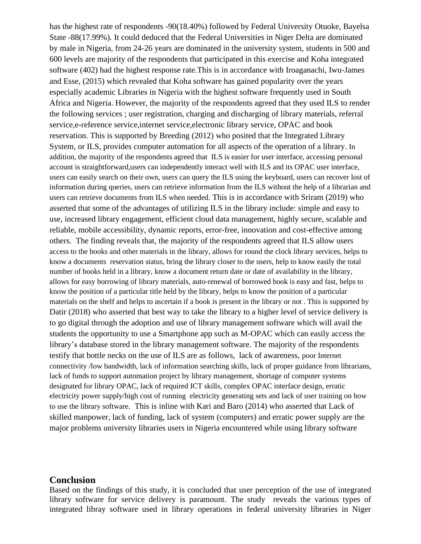has the highest rate of respondents -90(18.40%) followed by Federal University Otuoke, Bayelsa State -88(17.99%). It could deduced that the Federal Universities in Niger Delta are dominated by male in Nigeria, from 24-26 years are dominated in the university system, students in 500 and 600 levels are majority of the respondents that participated in this exercise and Koha integrated software (402) had the highest response rate.This is in accordance with Iroaganachi, Iwu-James and Esse, (2015) which revealed that Koha software has gained popularity over the years especially academic Libraries in Nigeria with the highest software frequently used in South Africa and Nigeria. However, the majority of the respondents agreed that they used ILS to render the following services ; user registration, charging and discharging of library materials, referral service,e-reference service,internet service,electronic library service, OPAC and book reservation. This is supported by Breeding (2012) who posited that the Integrated Library System, or ILS, provides computer automation for all aspects of the operation of a library. In addition, the majority of the respondents agreed that ILS is easier for user interface, accessing personal account is straightforward,users can independently interact well with ILS and its OPAC user interface, users can easily search on their own, users can query the ILS using the keyboard, users can recover lost of information during queries, users can retrieve information from the ILS without the help of a librarian and users can retrieve documents from ILS when needed. This is in accordance with Sriram (2019) who asserted that some of the advantages of utilizing ILS in the library include: simple and easy to use, increased library engagement, efficient cloud data management, highly secure, scalable and reliable, mobile accessibility, dynamic reports, error-free, innovation and cost-effective among others. The finding reveals that, the majority of the respondents agreed that ILS allow users access to the books and other materials in the library, allows for round the clock library services, helps to know a documents reservation status, bring the library closer to the users, help to know easily the total number of books held in a library, know a document return date or date of availability in the library, allows for easy borrowing of library materials, auto-renewal of borrowed book is easy and fast, helps to know the position of a particular title held by the library, helps to know the position of a particular materials on the shelf and helps to ascertain if a book is present in the library or not . This is supported by Datir (2018) who asserted that best way to take the library to a higher level of service delivery is to go digital through the adoption and use of library management software which will avail the students the opportunity to use a Smartphone app such as M-OPAC which can easily access the library's database stored in the library management software. The majority of the respondents testify that bottle necks on the use of ILS are as follows, lack of awareness, poor Internet connectivity /low bandwidth, lack of information searching skills, lack of proper guidance from librarians, lack of funds to support automation project by library management, shortage of computer systems designated for library OPAC, lack of required ICT skills, complex OPAC interface design, erratic electricity power supply/high cost of running electricity generating sets and lack of user training on how to use the library software. This is inline with Kari and Baro (2014) who asserted that Lack of skilled manpower, lack of funding, lack of system (computers) and erratic power supply are the major problems university libraries users in Nigeria encountered while using library software

#### **Conclusion**

Based on the findings of this study, it is concluded that user perception of the use of integrated library software for service delivery is paramount. The study reveals the various types of integrated libray software used in library operations in federal university libraries in Niger